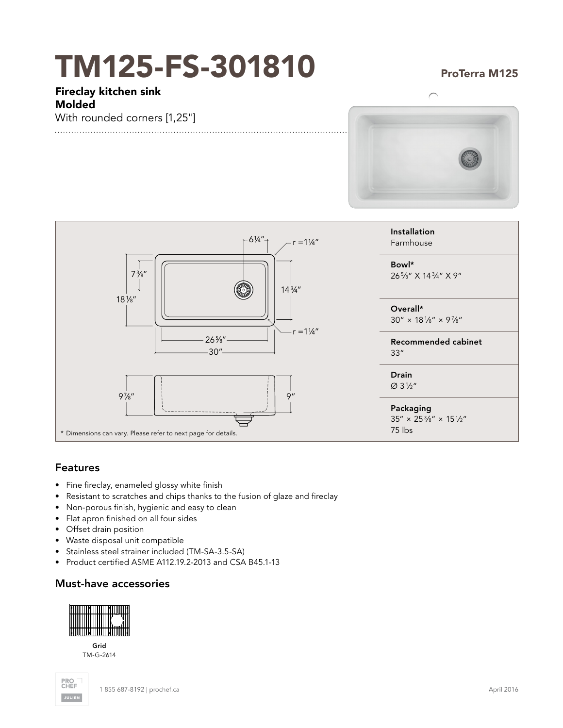# TM125-FS-301810

### ProTerra M125

Fireclay kitchen sink Molded

With rounded corners [1,25"]





## Features

- Fine fireclay, enameled glossy white finish
- Resistant to scratches and chips thanks to the fusion of glaze and fireclay
- Non-porous finish, hygienic and easy to clean
- Flat apron finished on all four sides
- Offset drain position
- Waste disposal unit compatible
- Stainless steel strainer included (TM-SA-3.5-SA)
- Product certified ASME A112.19.2-2013 and CSA B45.1-13

## Must-have accessories

| ı |    |
|---|----|
|   | -- |
|   |    |

Grid TM-G-2614